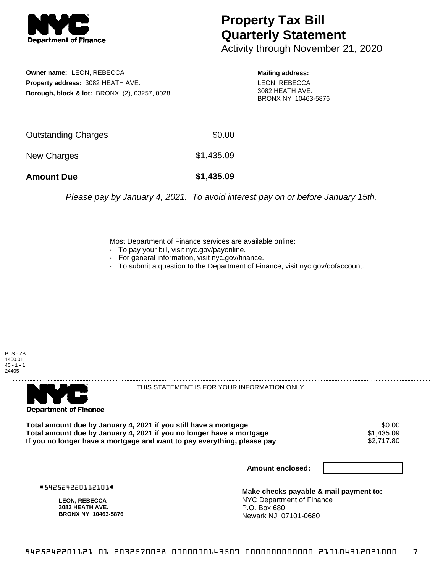

## **Property Tax Bill Quarterly Statement**

Activity through November 21, 2020

**Owner name:** LEON, REBECCA **Property address:** 3082 HEATH AVE. **Borough, block & lot:** BRONX (2), 03257, 0028

**Mailing address:** LEON, REBECCA 3082 HEATH AVE. BRONX NY 10463-5876

| <b>Amount Due</b>   | \$1,435.09 |
|---------------------|------------|
| New Charges         | \$1,435.09 |
| Outstanding Charges | \$0.00     |

Please pay by January 4, 2021. To avoid interest pay on or before January 15th.

Most Department of Finance services are available online:

- · To pay your bill, visit nyc.gov/payonline.
- For general information, visit nyc.gov/finance.
- · To submit a question to the Department of Finance, visit nyc.gov/dofaccount.

PTS - ZB 1400.01  $40 - 1 - 1$ 24405



THIS STATEMENT IS FOR YOUR INFORMATION ONLY

Total amount due by January 4, 2021 if you still have a mortgage  $$0.00$ <br>Total amount due by January 4, 2021 if you no longer have a mortgage  $$1,435.09$ **Total amount due by January 4, 2021 if you no longer have a mortgage**  $$1,435.09$ **<br>If you no longer have a mortgage and want to pay everything, please pay**  $$2,717.80$ If you no longer have a mortgage and want to pay everything, please pay

**Amount enclosed:**

#842524220112101#

**LEON, REBECCA 3082 HEATH AVE. BRONX NY 10463-5876**

**Make checks payable & mail payment to:** NYC Department of Finance P.O. Box 680 Newark NJ 07101-0680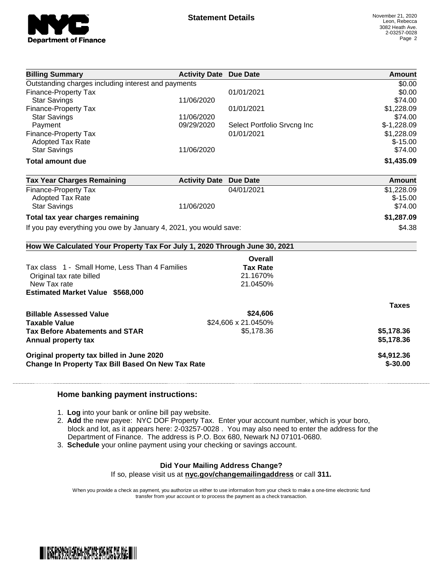

| <b>Billing Summary</b>                                                     | <b>Activity Date Due Date</b> |                             | Amount        |
|----------------------------------------------------------------------------|-------------------------------|-----------------------------|---------------|
| Outstanding charges including interest and payments                        |                               |                             | \$0.00        |
| Finance-Property Tax                                                       |                               | 01/01/2021                  | \$0.00        |
| <b>Star Savings</b>                                                        | 11/06/2020                    |                             | \$74.00       |
| Finance-Property Tax                                                       |                               | 01/01/2021                  | \$1,228.09    |
| <b>Star Savings</b>                                                        | 11/06/2020                    |                             | \$74.00       |
| Payment                                                                    | 09/29/2020                    | Select Portfolio Srvcng Inc | $$-1,228.09$  |
| Finance-Property Tax                                                       |                               | 01/01/2021                  | \$1,228.09    |
| <b>Adopted Tax Rate</b>                                                    |                               |                             | $$-15.00$     |
| <b>Star Savings</b>                                                        | 11/06/2020                    |                             | \$74.00       |
| <b>Total amount due</b>                                                    |                               |                             | \$1,435.09    |
| <b>Tax Year Charges Remaining</b>                                          | <b>Activity Date Due Date</b> |                             | <b>Amount</b> |
| Finance-Property Tax                                                       |                               | 04/01/2021                  | \$1,228.09    |
| <b>Adopted Tax Rate</b>                                                    |                               |                             | $$-15.00$     |
| <b>Star Savings</b>                                                        | 11/06/2020                    |                             | \$74.00       |
| Total tax year charges remaining                                           |                               |                             | \$1,287.09    |
| If you pay everything you owe by January 4, 2021, you would save:          |                               |                             | \$4.38        |
| How We Calculated Your Property Tax For July 1, 2020 Through June 30, 2021 |                               |                             |               |
|                                                                            |                               | Overall                     |               |
| Tax class 1 - Small Home, Less Than 4 Families                             |                               | <b>Tax Rate</b>             |               |
| Original tax rate billed                                                   |                               | 21.1670%                    |               |
| New Tax rate                                                               |                               | 21.0450%                    |               |
| <b>Estimated Market Value \$568,000</b>                                    |                               |                             |               |
|                                                                            |                               |                             | <b>Taxes</b>  |
| <b>Billable Assessed Value</b>                                             |                               | \$24,606                    |               |
| <b>Taxable Value</b>                                                       |                               | \$24,606 x 21.0450%         |               |
| <b>Tax Before Abatements and STAR</b>                                      |                               | \$5,178.36                  | \$5,178.36    |
|                                                                            |                               |                             | \$5,178.36    |
| Annual property tax                                                        |                               |                             |               |
| Original property tax billed in June 2020                                  |                               |                             | \$4,912.36    |
| <b>Change In Property Tax Bill Based On New Tax Rate</b>                   |                               |                             | $$ -30.00$    |
|                                                                            |                               |                             |               |

## **Home banking payment instructions:**

- 1. **Log** into your bank or online bill pay website.
- 2. **Add** the new payee: NYC DOF Property Tax. Enter your account number, which is your boro, block and lot, as it appears here: 2-03257-0028 . You may also need to enter the address for the Department of Finance. The address is P.O. Box 680, Newark NJ 07101-0680.
- 3. **Schedule** your online payment using your checking or savings account.

## **Did Your Mailing Address Change?**

If so, please visit us at **nyc.gov/changemailingaddress** or call **311.**

When you provide a check as payment, you authorize us either to use information from your check to make a one-time electronic fund transfer from your account or to process the payment as a check transaction.